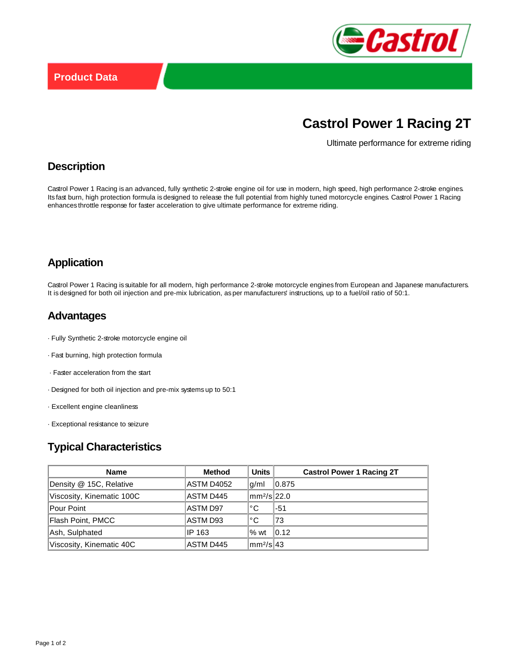

# **Castrol Power 1 Racing 2T**

Ultimate performance for extreme riding

#### **Description**

Castrol Power 1 Racing is an advanced, fully synthetic 2-stroke engine oil for use in modern, high speed, high performance 2-stroke engines. Its fast burn, high protection formula is designed to release the full potential from highly tuned motorcycle engines. Castrol Power 1 Racing enhances throttle response for faster acceleration to give ultimate performance for extreme riding.

## **Application**

Castrol Power 1 Racing is suitable for all modern, high performance 2-stroke motorcycle engines from European and Japanese manufacturers. It is designed for both oil injection and pre-mix lubrication, as per manufacturers' instructions, up to a fuel/oil ratio of 50:1.

#### **Advantages**

- · Fully Synthetic 2-stroke motorcycle engine oil
- · Fast burning, high protection formula
- · Faster acceleration from the start
- · Designed for both oil injection and pre-mix systems up to 50:1
- · Excellent engine cleanliness
- · Exceptional resistance to seizure

# **Typical Characteristics**

| <b>Name</b>               | <b>Method</b> | Units                       | <b>Castrol Power 1 Racing 2T</b> |
|---------------------------|---------------|-----------------------------|----------------------------------|
| Density @ 15C, Relative   | ASTM D4052    | q/ml                        | 0.875                            |
| Viscosity, Kinematic 100C | ASTM D445     | $\text{mm}^2/\text{s}$ 22.0 |                                  |
| Pour Point                | ASTM D97      | °€                          | -51                              |
| Flash Point, PMCC         | ASTM D93      | °C                          | 73                               |
| Ash, Sulphated            | IP 163        | $%$ wt                      | 0.12                             |
| Viscosity, Kinematic 40C  | ASTM D445     | $\text{Imm}^2/\text{s}$ 43  |                                  |